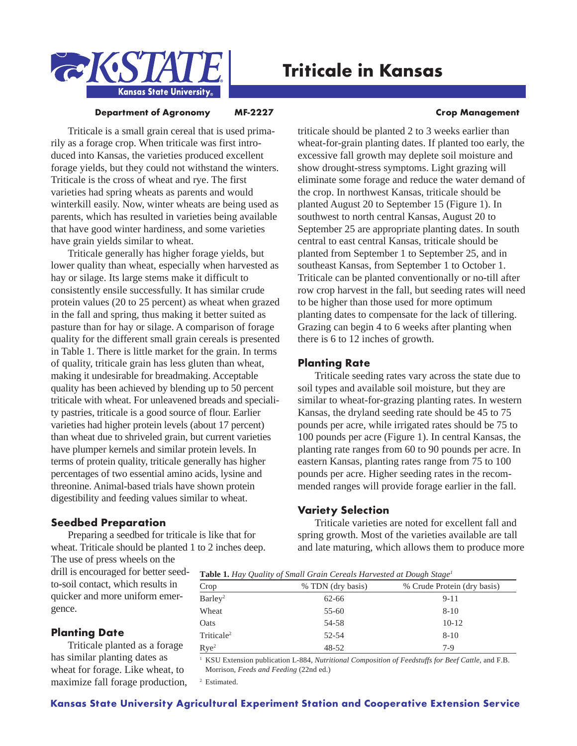

# **Triticale in Kansas**

### **Department of Agronomy MF-2227 ME-2027 Management**

# Triticale is a small grain cereal that is used primarily as a forage crop. When triticale was first introduced into Kansas, the varieties produced excellent forage yields, but they could not withstand the winters. Triticale is the cross of wheat and rye. The first varieties had spring wheats as parents and would winterkill easily. Now, winter wheats are being used as parents, which has resulted in varieties being available that have good winter hardiness, and some varieties have grain yields similar to wheat.

Triticale generally has higher forage yields, but lower quality than wheat, especially when harvested as hay or silage. Its large stems make it difficult to consistently ensile successfully. It has similar crude protein values (20 to 25 percent) as wheat when grazed in the fall and spring, thus making it better suited as pasture than for hay or silage. A comparison of forage quality for the different small grain cereals is presented in Table 1. There is little market for the grain. In terms of quality, triticale grain has less gluten than wheat, making it undesirable for breadmaking. Acceptable quality has been achieved by blending up to 50 percent triticale with wheat. For unleavened breads and speciality pastries, triticale is a good source of flour. Earlier varieties had higher protein levels (about 17 percent) than wheat due to shriveled grain, but current varieties have plumper kernels and similar protein levels. In terms of protein quality, triticale generally has higher percentages of two essential amino acids, lysine and threonine. Animal-based trials have shown protein digestibility and feeding values similar to wheat.

# **Seedbed Preparation**

Preparing a seedbed for triticale is like that for wheat. Triticale should be planted 1 to 2 inches deep.

The use of press wheels on the drill is encouraged for better seedto-soil contact, which results in quicker and more uniform emergence.

# **Planting Date**

Triticale planted as a forage has similar planting dates as wheat for forage. Like wheat, to maximize fall forage production,

triticale should be planted 2 to 3 weeks earlier than wheat-for-grain planting dates. If planted too early, the excessive fall growth may deplete soil moisture and show drought-stress symptoms. Light grazing will eliminate some forage and reduce the water demand of the crop. In northwest Kansas, triticale should be planted August 20 to September 15 (Figure 1). In southwest to north central Kansas, August 20 to September 25 are appropriate planting dates. In south central to east central Kansas, triticale should be planted from September 1 to September 25, and in southeast Kansas, from September 1 to October 1. Triticale can be planted conventionally or no-till after row crop harvest in the fall, but seeding rates will need to be higher than those used for more optimum planting dates to compensate for the lack of tillering. Grazing can begin 4 to 6 weeks after planting when there is 6 to 12 inches of growth.

# **Planting Rate**

Triticale seeding rates vary across the state due to soil types and available soil moisture, but they are similar to wheat-for-grazing planting rates. In western Kansas, the dryland seeding rate should be 45 to 75 pounds per acre, while irrigated rates should be 75 to 100 pounds per acre (Figure 1). In central Kansas, the planting rate ranges from 60 to 90 pounds per acre. In eastern Kansas, planting rates range from 75 to 100 pounds per acre. Higher seeding rates in the recommended ranges will provide forage earlier in the fall.

# **Variety Selection**

Triticale varieties are noted for excellent fall and spring growth. Most of the varieties available are tall and late maturing, which allows them to produce more

**Table 1.** *Hay Quality of Small Grain Cereals Harvested at Dough Stage1*

| Crop                   | % TDN (dry basis) | % Crude Protein (dry basis) |  |  |
|------------------------|-------------------|-----------------------------|--|--|
| Barley <sup>2</sup>    | 62-66             | $9 - 11$                    |  |  |
| Wheat                  | 55-60             | $8 - 10$                    |  |  |
| Oats                   | 54-58             | $10-12$                     |  |  |
| Triticale <sup>2</sup> | 52-54             | $8 - 10$                    |  |  |
| Rye <sup>2</sup>       | $48 - 52$         | $7-9$                       |  |  |

<sup>1</sup> KSU Extension publication L-884, *Nutritional Composition of Feedstuffs for Beef Cattle*, and F.B. Morrison, *Feeds and Feeding* (22nd ed.)

<sup>2</sup> Estimated.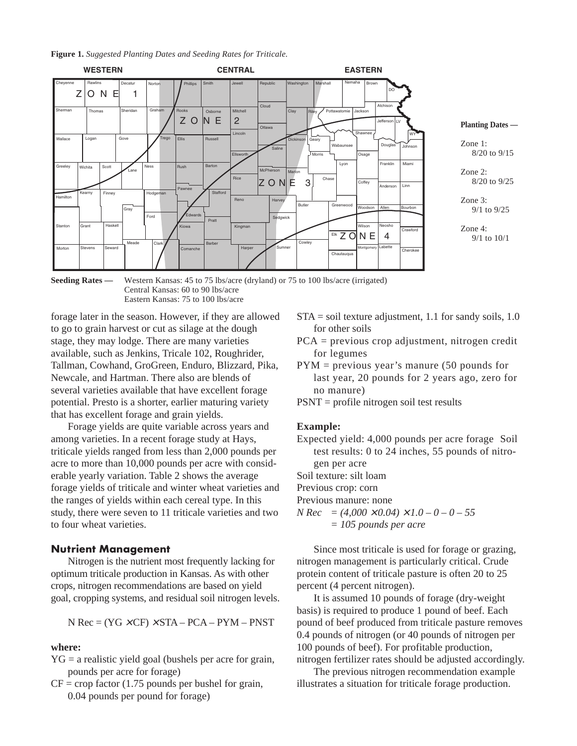**Figure 1.** *Suggested Planting Dates and Seeding Rates for Triticale.*



**Seeding Rates** — Western Kansas: 45 to 75 lbs/acre (dryland) or 75 to 100 lbs/acre (irrigated) Central Kansas: 60 to 90 lbs/acre Eastern Kansas: 75 to 100 lbs/acre

forage later in the season. However, if they are allowed to go to grain harvest or cut as silage at the dough stage, they may lodge. There are many varieties available, such as Jenkins, Tricale 102, Roughrider, Tallman, Cowhand, GroGreen, Enduro, Blizzard, Pika, Newcale, and Hartman. There also are blends of several varieties available that have excellent forage potential. Presto is a shorter, earlier maturing variety that has excellent forage and grain yields.

Forage yields are quite variable across years and among varieties. In a recent forage study at Hays, triticale yields ranged from less than 2,000 pounds per acre to more than 10,000 pounds per acre with considerable yearly variation. Table 2 shows the average forage yields of triticale and winter wheat varieties and the ranges of yields within each cereal type. In this study, there were seven to 11 triticale varieties and two to four wheat varieties.

#### **Nutrient Management**

Nitrogen is the nutrient most frequently lacking for optimum triticale production in Kansas. As with other crops, nitrogen recommendations are based on yield goal, cropping systems, and residual soil nitrogen levels.

$$
N Rec = (YG \times CF) \times STA - PCA - PYM - PNST
$$

# **where:**

- $YG = a realistic yield goal (bushels per acre for grain,$ pounds per acre for forage)
- $CF = crop$  factor (1.75 pounds per bushel for grain, 0.04 pounds per pound for forage)
- STA = soil texture adjustment, 1.1 for sandy soils, 1.0 for other soils
- PCA = previous crop adjustment, nitrogen credit for legumes
- PYM = previous year's manure (50 pounds for last year, 20 pounds for 2 years ago, zero for no manure)
- PSNT = profile nitrogen soil test results

# **Example:**

- Expected yield: 4,000 pounds per acre forage Soil test results: 0 to 24 inches, 55 pounds of nitrogen per acre
- Soil texture: silt loam
- Previous crop: corn
- Previous manure: none
- $N \text{Rec} = (4,000 \times 0.04) \times 1.0 0 0 55$ *= 105 pounds per acre*

Since most triticale is used for forage or grazing, nitrogen management is particularly critical. Crude protein content of triticale pasture is often 20 to 25 percent (4 percent nitrogen).

It is assumed 10 pounds of forage (dry-weight basis) is required to produce 1 pound of beef. Each pound of beef produced from triticale pasture removes 0.4 pounds of nitrogen (or 40 pounds of nitrogen per 100 pounds of beef). For profitable production, nitrogen fertilizer rates should be adjusted accordingly.

The previous nitrogen recommendation example illustrates a situation for triticale forage production.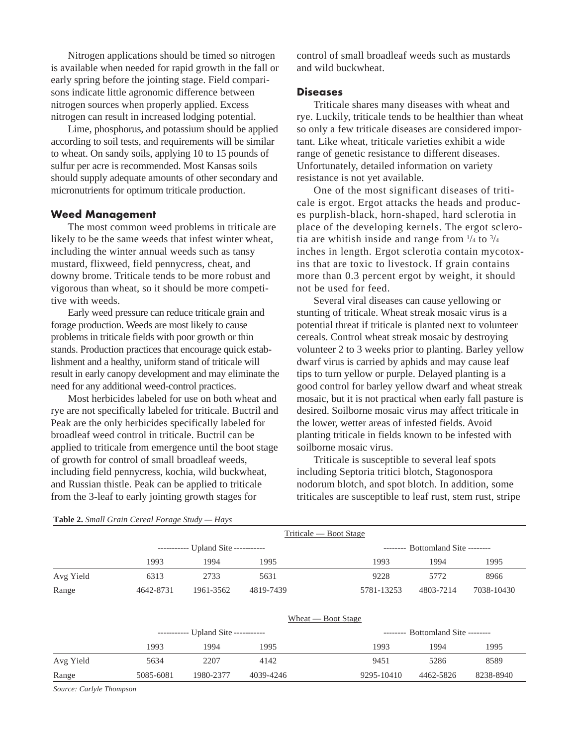Nitrogen applications should be timed so nitrogen is available when needed for rapid growth in the fall or early spring before the jointing stage. Field comparisons indicate little agronomic difference between nitrogen sources when properly applied. Excess nitrogen can result in increased lodging potential.

Lime, phosphorus, and potassium should be applied according to soil tests, and requirements will be similar to wheat. On sandy soils, applying 10 to 15 pounds of sulfur per acre is recommended. Most Kansas soils should supply adequate amounts of other secondary and micronutrients for optimum triticale production.

# **Weed Management**

The most common weed problems in triticale are likely to be the same weeds that infest winter wheat, including the winter annual weeds such as tansy mustard, flixweed, field pennycress, cheat, and downy brome. Triticale tends to be more robust and vigorous than wheat, so it should be more competitive with weeds.

Early weed pressure can reduce triticale grain and forage production. Weeds are most likely to cause problems in triticale fields with poor growth or thin stands. Production practices that encourage quick establishment and a healthy, uniform stand of triticale will result in early canopy development and may eliminate the need for any additional weed-control practices.

Most herbicides labeled for use on both wheat and rye are not specifically labeled for triticale. Buctril and Peak are the only herbicides specifically labeled for broadleaf weed control in triticale. Buctril can be applied to triticale from emergence until the boot stage of growth for control of small broadleaf weeds, including field pennycress, kochia, wild buckwheat, and Russian thistle. Peak can be applied to triticale from the 3-leaf to early jointing growth stages for

control of small broadleaf weeds such as mustards and wild buckwheat.

## **Diseases**

Triticale shares many diseases with wheat and rye. Luckily, triticale tends to be healthier than wheat so only a few triticale diseases are considered important. Like wheat, triticale varieties exhibit a wide range of genetic resistance to different diseases. Unfortunately, detailed information on variety resistance is not yet available.

One of the most significant diseases of triticale is ergot. Ergot attacks the heads and produces purplish-black, horn-shaped, hard sclerotia in place of the developing kernels. The ergot sclerotia are whitish inside and range from  $\frac{1}{4}$  to  $\frac{3}{4}$ inches in length. Ergot sclerotia contain mycotoxins that are toxic to livestock. If grain contains more than 0.3 percent ergot by weight, it should not be used for feed.

Several viral diseases can cause yellowing or stunting of triticale. Wheat streak mosaic virus is a potential threat if triticale is planted next to volunteer cereals. Control wheat streak mosaic by destroying volunteer 2 to 3 weeks prior to planting. Barley yellow dwarf virus is carried by aphids and may cause leaf tips to turn yellow or purple. Delayed planting is a good control for barley yellow dwarf and wheat streak mosaic, but it is not practical when early fall pasture is desired. Soilborne mosaic virus may affect triticale in the lower, wetter areas of infested fields. Avoid planting triticale in fields known to be infested with soilborne mosaic virus.

Triticale is susceptible to several leaf spots including Septoria tritici blotch, Stagonospora nodorum blotch, and spot blotch. In addition, some triticales are susceptible to leaf rust, stem rust, stripe

|           | $11111$ $415 - 1001$ $31425$        |                                     |           |                                       |  |  |
|-----------|-------------------------------------|-------------------------------------|-----------|---------------------------------------|--|--|
|           | ----------- Upland Site ----------- |                                     |           | -------- Bottomland Site --------     |  |  |
|           | 1993                                | 1994                                | 1995      | 1993<br>1994<br>1995                  |  |  |
| Avg Yield | 6313                                | 2733                                | 5631      | 9228<br>8966<br>5772                  |  |  |
| Range     | 4642-8731                           | 1961-3562                           | 4819-7439 | 5781-13253<br>4803-7214<br>7038-10430 |  |  |
|           | $When$ Boot Stage                   |                                     |           |                                       |  |  |
|           |                                     | ----------- Upland Site ----------- |           | -------- Bottomland Site --------     |  |  |
|           | 1993                                | 1994                                | 1995      | 1993<br>1995<br>1994                  |  |  |
| Avg Yield | 5634                                | 2207                                | 4142      | 8589<br>9451<br>5286                  |  |  |
| Range     | 5085-6081                           | 1980-2377                           | 4039-4246 | 8238-8940<br>9295-10410<br>4462-5826  |  |  |

Triticale — Boot Stage

### **Table 2.** *Small Grain Cereal Forage Study — Hays*

*Source: Carlyle Thompson*